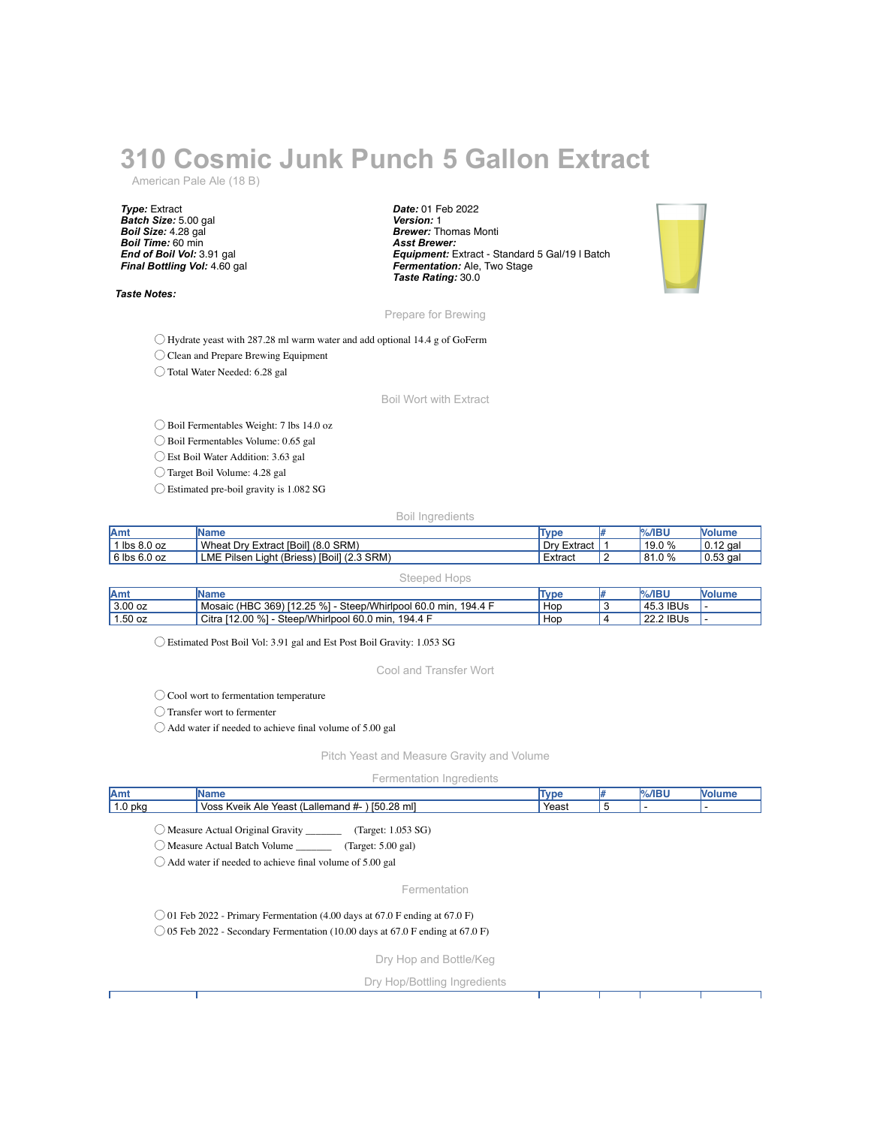## **310 Cosmic Junk Punch 5 Gallon Extract**

American Pale Ale (18 B)

*Type:* Extract *Batch Size:* 5.00 gal *Boil Size:* 4.28 gal *Boil Time:* 60 min *End of Boil Vol:* 3.91 gal *Final Bottling Vol:* 4.60 gal

*Taste Notes:*

*Date:* 01 Feb 2022 *Version:* 1 *Brewer:* Thomas Monti *Asst Brewer: Equipment:* Extract - Standard 5 Gal/19 l Batch *Fermentation:* Ale, Two Stage *Taste Rating:* 30.0



Prepare for Brewing

◯ Hydrate yeast with 287.28 ml warm water and add optional 14.4 g of GoFerm

◯ Clean and Prepare Brewing Equipment

◯ Total Water Needed: 6.28 gal

Boil Wort with Extract

◯ Boil Fermentables Weight: 7 lbs 14.0 oz

◯ Boil Fermentables Volume: 0.65 gal

◯ Est Boil Water Addition: 3.63 gal

◯ Target Boil Volume: 4.28 gal

◯ Estimated pre-boil gravity is 1.082 SG

Boil Ingredients

| <b>JAmy</b>      | IName                                           | Type             | $%$ /IBU | <b>Nolume</b> |
|------------------|-------------------------------------------------|------------------|----------|---------------|
| $'1$ lbs 8.0 oz  | Wheat Drv<br>Extract [Boil] (8.0 SRM)           | Drv E<br>Extract | 19.0 %   | $10.12$ gai   |
| $6$ lbs $6.0$ oz | Light (Briess) [Boil] (2.3 SRM)<br>LME Pilsen L | Extract          | 81.0%    | $10.53$ gal   |

| Steeped Hops |  |
|--------------|--|
|--------------|--|

| Amt       | Name                                                                | <b>Type</b> | $%$ /IBU  | <b>Nolume</b> |
|-----------|---------------------------------------------------------------------|-------------|-----------|---------------|
| $3.00$ oz | Mosaic (HBC 369) [12.25 %] - Steep/Whirlpool 60.0 min,<br>. 194.4 F | Hop         | 45.3 IBUs |               |
| $1.50$ oz | Citra [12.00 %] - Steep/Whirlpool 60.0 min, 194.4 F                 | Hop         | 22.2 IBUs |               |

◯ Estimated Post Boil Vol: 3.91 gal and Est Post Boil Gravity: 1.053 SG

Cool and Transfer Wort

◯ Cool wort to fermentation temperature

◯ Transfer wort to fermenter

◯ Add water if needed to achieve final volume of 5.00 gal

Pitch Yeast and Measure Gravity and Volume

Fermentation Ingredients

| Amt       | <b>Name</b>                                                                                                                                                                    | <b>Type</b> | l# | $%$ /IBU | <b>Volume</b> |
|-----------|--------------------------------------------------------------------------------------------------------------------------------------------------------------------------------|-------------|----|----------|---------------|
| $1.0$ pkg | Voss Kveik Ale Yeast (Lallemand #- ) [50.28 ml]                                                                                                                                | Yeast       | 5  |          |               |
|           | Measure Actual Original Gravity ___________ (Target: 1.053 SG)<br>Measure Actual Batch Volume (Target: 5.00 gal)<br>Add water if needed to achieve final volume of 5.00 gal    |             |    |          |               |
|           | Fermentation                                                                                                                                                                   |             |    |          |               |
|           | $\degree$ 01 Feb 2022 - Primary Fermentation (4.00 days at 67.0 F ending at 67.0 F)<br>$\bigcirc$ 05 Feb 2022 - Secondary Fermentation (10.00 days at 67.0 F ending at 67.0 F) |             |    |          |               |
|           | Dry Hop and Bottle/Keg                                                                                                                                                         |             |    |          |               |
|           | Dry Hop/Bottling Ingredients                                                                                                                                                   |             |    |          |               |
|           |                                                                                                                                                                                |             |    |          |               |